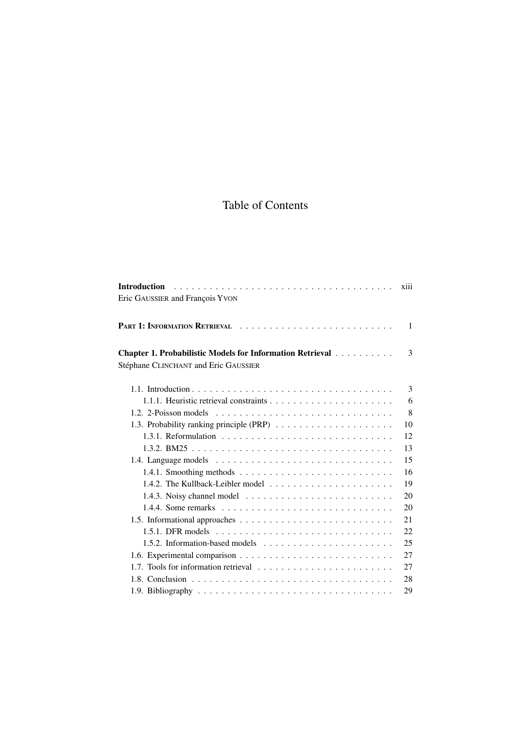# Table of Contents

|                                                                                                 | <b>X111</b>  |
|-------------------------------------------------------------------------------------------------|--------------|
| Eric GAUSSIER and François YVON                                                                 |              |
|                                                                                                 | $\mathbf{1}$ |
| Chapter 1. Probabilistic Models for Information Retrieval                                       | 3            |
| Stéphane CLINCHANT and Eric GAUSSIER                                                            |              |
|                                                                                                 | 3            |
|                                                                                                 | 6            |
| 1.2. 2-Poisson models $\dots \dots \dots \dots \dots \dots \dots \dots \dots \dots \dots \dots$ | 8            |
|                                                                                                 | 10           |
|                                                                                                 | 12           |
|                                                                                                 | 13           |
|                                                                                                 | 15           |
|                                                                                                 | 16           |
|                                                                                                 | 19           |
|                                                                                                 | 20           |
|                                                                                                 | 20           |
|                                                                                                 | 21           |
|                                                                                                 | 22           |
|                                                                                                 | 25           |
|                                                                                                 | 27           |
|                                                                                                 | 27           |
|                                                                                                 | 28           |
|                                                                                                 | 29           |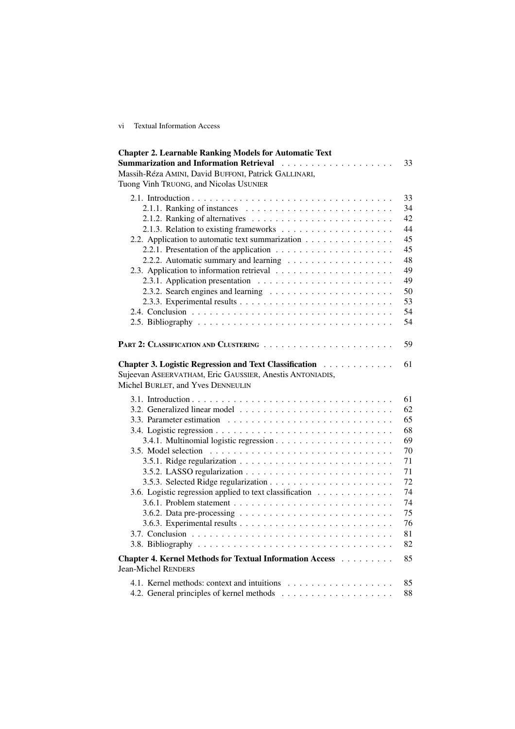vi Textual Information Access

| <b>Chapter 2. Learnable Ranking Models for Automatic Text</b>                                 |    |
|-----------------------------------------------------------------------------------------------|----|
|                                                                                               | 33 |
| Massih-Réza AMINI, David BUFFONI, Patrick GALLINARI,                                          |    |
| Tuong Vinh TRUONG, and Nicolas USUNIER                                                        |    |
|                                                                                               | 33 |
|                                                                                               | 34 |
|                                                                                               | 42 |
|                                                                                               | 44 |
| 2.2. Application to automatic text summarization                                              | 45 |
|                                                                                               | 45 |
|                                                                                               | 48 |
|                                                                                               | 49 |
|                                                                                               | 49 |
|                                                                                               | 50 |
|                                                                                               | 53 |
|                                                                                               | 54 |
|                                                                                               | 54 |
|                                                                                               |    |
|                                                                                               | 59 |
| Chapter 3. Logistic Regression and Text Classification                                        | 61 |
| Sujeevan ASEERVATHAM, Eric GAUSSIER, Anestis ANTONIADIS,<br>Michel BURLET, and Yves DENNEULIN |    |
|                                                                                               | 61 |
|                                                                                               | 62 |
|                                                                                               | 65 |
|                                                                                               | 68 |
|                                                                                               | 69 |
|                                                                                               | 70 |
|                                                                                               | 71 |
|                                                                                               | 71 |
|                                                                                               | 72 |
|                                                                                               | 74 |
| 3.6. Logistic regression applied to text classification                                       | 74 |
|                                                                                               |    |
| 3.6.2. Data pre-processing $\ldots \ldots \ldots \ldots \ldots \ldots \ldots \ldots$          | 75 |
|                                                                                               | 76 |
|                                                                                               | 81 |
|                                                                                               | 82 |
| Chapter 4. Kernel Methods for Textual Information Access<br><b>Jean-Michel RENDERS</b>        | 85 |
|                                                                                               | 85 |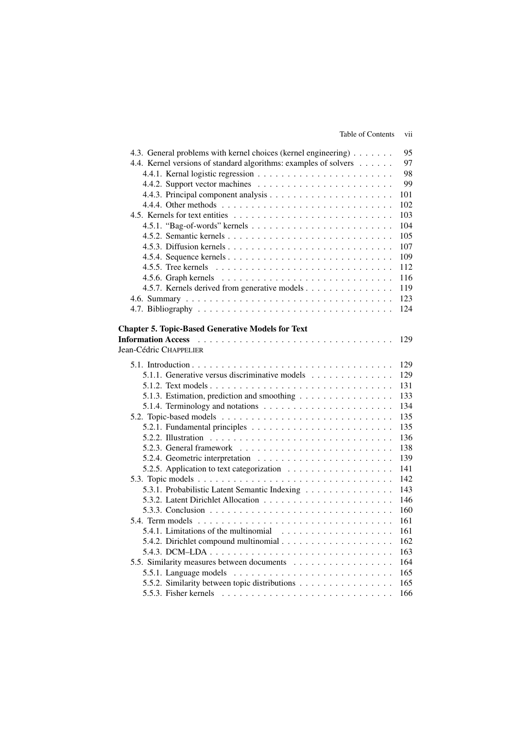| 4.3. General problems with kernel choices (kernel engineering)                                                 | 95  |
|----------------------------------------------------------------------------------------------------------------|-----|
| 4.4. Kernel versions of standard algorithms: examples of solvers                                               | 97  |
|                                                                                                                | 98  |
|                                                                                                                | 99  |
|                                                                                                                | 101 |
|                                                                                                                | 102 |
|                                                                                                                | 103 |
|                                                                                                                | 104 |
|                                                                                                                | 105 |
|                                                                                                                | 107 |
|                                                                                                                | 109 |
|                                                                                                                | 112 |
|                                                                                                                | 116 |
| 4.5.7. Kernels derived from generative models                                                                  | 119 |
|                                                                                                                | 123 |
|                                                                                                                | 124 |
|                                                                                                                |     |
| <b>Chapter 5. Topic-Based Generative Models for Text</b>                                                       |     |
| Information Access (and a series are a series of the series of the series of the series of the series of the s | 129 |
| Jean-Cédric CHAPPELIER                                                                                         |     |
|                                                                                                                | 129 |
| 5.1.1. Generative versus discriminative models                                                                 | 129 |
|                                                                                                                | 131 |
| 5.1.3. Estimation, prediction and smoothing                                                                    | 133 |
|                                                                                                                | 134 |
|                                                                                                                | 135 |
|                                                                                                                | 135 |
|                                                                                                                | 136 |
|                                                                                                                | 138 |
|                                                                                                                | 139 |
|                                                                                                                | 141 |
|                                                                                                                | 142 |
| 5.3.1. Probabilistic Latent Semantic Indexing                                                                  | 143 |
|                                                                                                                | 146 |
|                                                                                                                | 160 |
|                                                                                                                | 161 |
| 5.4.1. Limitations of the multinomial $\ldots \ldots \ldots \ldots \ldots \ldots$                              | 161 |
|                                                                                                                | 162 |
|                                                                                                                | 163 |
|                                                                                                                | 164 |
|                                                                                                                | 165 |
|                                                                                                                |     |
| 5.5.2. Similarity between topic distributions                                                                  | 165 |
| 5.5.3. Fisher kernels $\ldots \ldots \ldots \ldots \ldots \ldots \ldots \ldots \ldots$                         | 166 |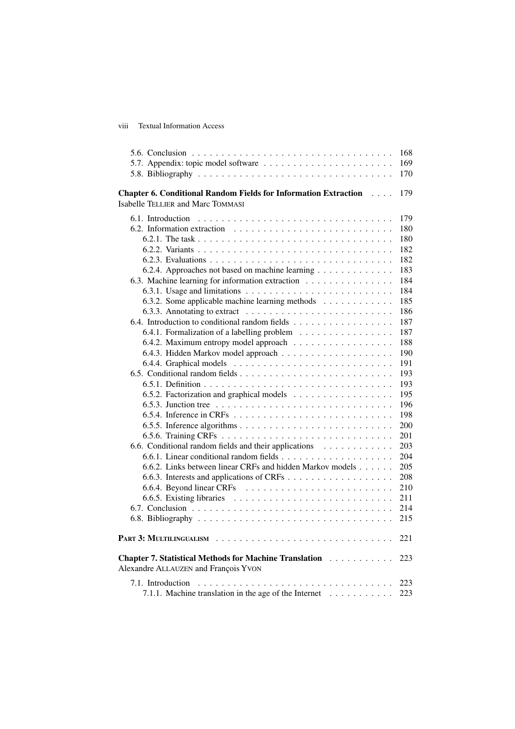### viii Textual Information Access

|                                                                                                                                | 168 |
|--------------------------------------------------------------------------------------------------------------------------------|-----|
| 5.7. Appendix: topic model software                                                                                            | 169 |
|                                                                                                                                | 170 |
|                                                                                                                                |     |
| <b>Chapter 6. Conditional Random Fields for Information Extraction Fig. 4.1.1.</b><br><b>Isabelle TELLIER and Marc TOMMASI</b> | 179 |
| 6.1. Introduction                                                                                                              | 179 |
| 6.2. Information extraction $\dots \dots \dots \dots \dots \dots \dots \dots \dots \dots$                                      | 180 |
|                                                                                                                                | 180 |
|                                                                                                                                | 182 |
|                                                                                                                                | 182 |
| 6.2.4. Approaches not based on machine learning                                                                                | 183 |
| 6.3. Machine learning for information extraction                                                                               | 184 |
|                                                                                                                                | 184 |
| 6.3.2. Some applicable machine learning methods                                                                                | 185 |
|                                                                                                                                | 186 |
| 6.4. Introduction to conditional random fields                                                                                 | 187 |
| 6.4.1. Formalization of a labelling problem                                                                                    | 187 |
| 6.4.2. Maximum entropy model approach                                                                                          | 188 |
|                                                                                                                                | 190 |
|                                                                                                                                | 191 |
|                                                                                                                                | 193 |
|                                                                                                                                |     |
|                                                                                                                                | 193 |
| 6.5.2. Factorization and graphical models                                                                                      | 195 |
|                                                                                                                                | 196 |
|                                                                                                                                | 198 |
|                                                                                                                                | 200 |
|                                                                                                                                | 201 |
| 6.6. Conditional random fields and their applications                                                                          | 203 |
|                                                                                                                                | 204 |
| 6.6.2. Links between linear CRFs and hidden Markov models                                                                      | 205 |
|                                                                                                                                | 208 |
|                                                                                                                                | 210 |
|                                                                                                                                | 211 |
|                                                                                                                                | 214 |
|                                                                                                                                | 215 |
|                                                                                                                                | 221 |
| Chapter 7. Statistical Methods for Machine Translation<br>Alexandre ALLAUZEN and François YVON                                 | 223 |
| 7.1. Introduction                                                                                                              | 223 |
| 7.1.1. Machine translation in the age of the Internet                                                                          | 223 |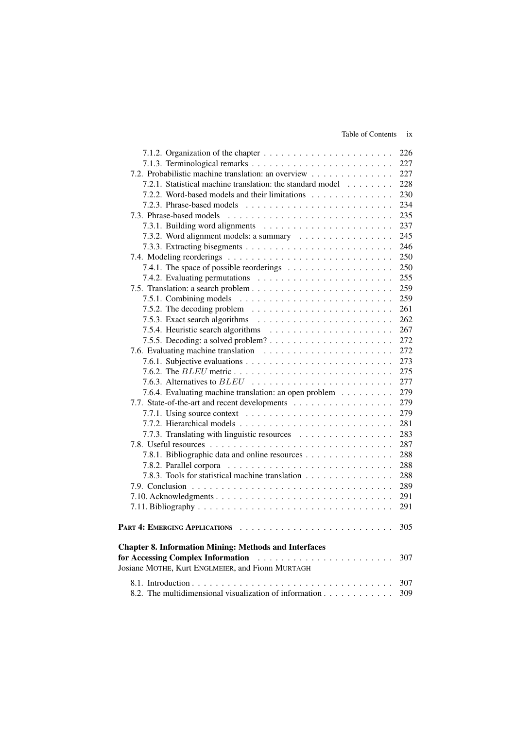### Table of Contents ix

|                                                                                | 226 |
|--------------------------------------------------------------------------------|-----|
|                                                                                | 227 |
| 7.2. Probabilistic machine translation: an overview                            | 227 |
| 7.2.1. Statistical machine translation: the standard model                     | 228 |
| 7.2.2. Word-based models and their limitations                                 | 230 |
|                                                                                | 234 |
| 7.3. Phrase-based models                                                       | 235 |
|                                                                                | 237 |
| 7.3.2. Word alignment models: a summary                                        | 245 |
|                                                                                | 246 |
|                                                                                | 250 |
|                                                                                | 250 |
|                                                                                | 255 |
|                                                                                | 259 |
|                                                                                | 259 |
| 7.5.2. The decoding problem $\ldots \ldots \ldots \ldots \ldots \ldots \ldots$ | 261 |
|                                                                                | 262 |
|                                                                                | 267 |
|                                                                                | 272 |
|                                                                                | 272 |
|                                                                                | 273 |
|                                                                                | 275 |
|                                                                                | 277 |
| 7.6.4. Evaluating machine translation: an open problem                         | 279 |
| 7.7. State-of-the-art and recent developments                                  | 279 |
|                                                                                | 279 |
|                                                                                | 281 |
| 7.7.3. Translating with linguistic resources                                   | 283 |
|                                                                                | 287 |
| 7.8.1. Bibliographic data and online resources                                 | 288 |
|                                                                                | 288 |
| 7.8.3. Tools for statistical machine translation                               | 288 |
|                                                                                | 289 |
|                                                                                | 291 |
|                                                                                | 291 |
|                                                                                |     |
|                                                                                | 305 |
| <b>Chapter 8. Information Mining: Methods and Interfaces</b>                   |     |
| <b>For Accessing Complex Information</b>                                       | 307 |
| Josiane MOTHE, Kurt ENGLMEIER, and Fionn MURTAGH                               |     |
|                                                                                | 307 |
| 8.2. The multidimensional visualization of information                         | 309 |
|                                                                                |     |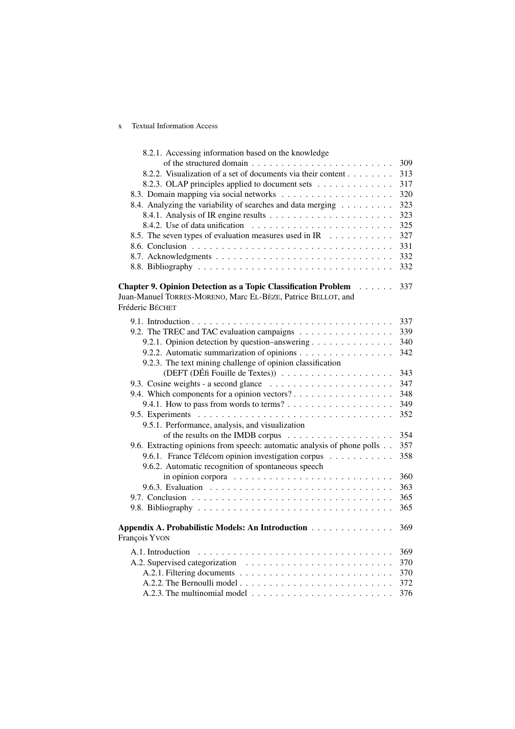## x Textual Information Access

| 8.2.1. Accessing information based on the knowledge                                                                                    |     |
|----------------------------------------------------------------------------------------------------------------------------------------|-----|
|                                                                                                                                        | 309 |
| 8.2.2. Visualization of a set of documents via their content                                                                           | 313 |
| 8.2.3. OLAP principles applied to document sets                                                                                        | 317 |
|                                                                                                                                        | 320 |
| 8.4. Analyzing the variability of searches and data merging                                                                            | 323 |
|                                                                                                                                        | 323 |
|                                                                                                                                        | 325 |
| 8.5. The seven types of evaluation measures used in IR                                                                                 | 327 |
|                                                                                                                                        | 331 |
|                                                                                                                                        | 332 |
|                                                                                                                                        | 332 |
|                                                                                                                                        |     |
| <b>Chapter 9. Opinion Detection as a Topic Classification Problem</b><br>$\cdots$                                                      | 337 |
| Juan-Manuel TORRES-MORENO, Marc EL-BÈZE, Patrice BELLOT, and                                                                           |     |
| Fréderic BÉCHET                                                                                                                        |     |
|                                                                                                                                        | 337 |
| 9.2. The TREC and TAC evaluation campaigns                                                                                             | 339 |
| 9.2.1. Opinion detection by question-answering                                                                                         | 340 |
| 9.2.2. Automatic summarization of opinions                                                                                             | 342 |
| 9.2.3. The text mining challenge of opinion classification                                                                             |     |
|                                                                                                                                        | 343 |
|                                                                                                                                        | 347 |
| 9.4. Which components for a opinion vectors?                                                                                           | 348 |
|                                                                                                                                        | 349 |
|                                                                                                                                        | 352 |
| 9.5.1. Performance, analysis, and visualization                                                                                        |     |
|                                                                                                                                        | 354 |
| 9.6. Extracting opinions from speech: automatic analysis of phone polls                                                                | 357 |
|                                                                                                                                        | 358 |
| 9.6.1. France Télécom opinion investigation corpus                                                                                     |     |
| 9.6.2. Automatic recognition of spontaneous speech<br>in opinion corpora $\dots \dots \dots \dots \dots \dots \dots \dots \dots \dots$ | 360 |
|                                                                                                                                        | 363 |
|                                                                                                                                        | 365 |
|                                                                                                                                        |     |
|                                                                                                                                        | 365 |
| Appendix A. Probabilistic Models: An Introduction                                                                                      | 369 |
| François YVON                                                                                                                          |     |
|                                                                                                                                        |     |
| A.1. Introduction                                                                                                                      | 369 |
|                                                                                                                                        | 370 |
|                                                                                                                                        | 370 |
|                                                                                                                                        | 372 |
|                                                                                                                                        | 376 |